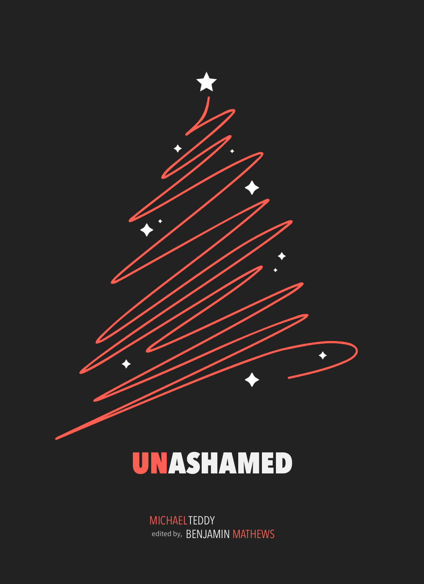

# UNASHAMED

MICHAEL TEDDY edited by, BENJAMIN MATHEWS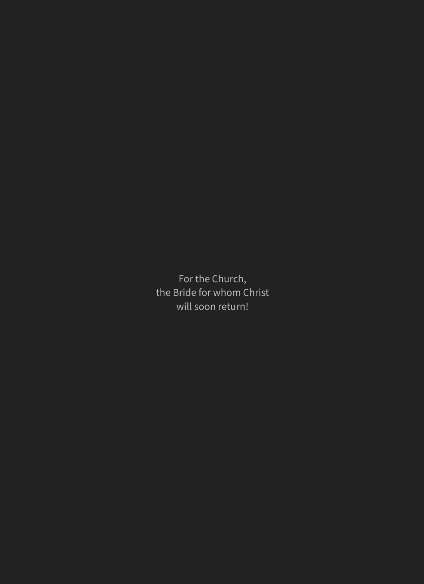For the Church, the Bride for whom Christ will soon return!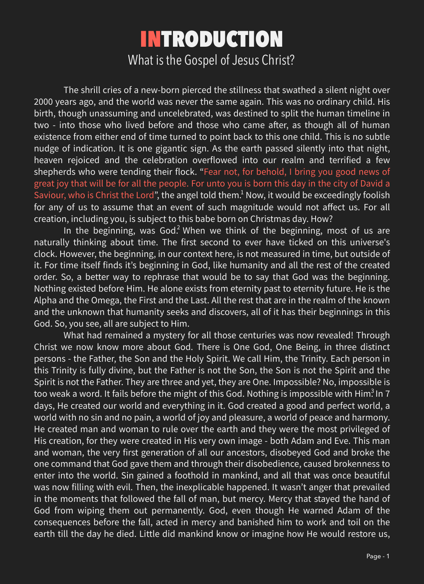The shrill cries of a new-born pierced the stillness that swathed a silent night over 2000 years ago, and the world was never the same again. This was no ordinary child. His birth, though unassuming and uncelebrated, was destined to split the human timeline in two - into those who lived before and those who came after, as though all of human existence from either end of time turned to point back to this one child. This is no subtle nudge of indication. It is one gigantic sign. As the earth passed silently into that night, heaven rejoiced and the celebration overflowed into our realm and terrified a few shepherds who were tending their flock. "Fear not, for behold, I bring you good news of great joy that will be for all the people. For unto you is born this day in the city of David a Saviour, who is Christ the Lord", the angel told them. $<sup>1</sup>$  Now, it would be exceedingly foolish</sup> for any of us to assume that an event of such magnitude would not affect us. For all creation, including you, is subject to this babe born on Christmas day. How?

In the beginning, was God.<sup>2</sup> When we think of the beginning, most of us are naturally thinking about time. The first second to ever have ticked on this universe's clock. However, the beginning, in our context here, is not measured in time, but outside of it. For time itself finds it's beginning in God, like humanity and all the rest of the created order. So, a better way to rephrase that would be to say that God was the beginning. Nothing existed before Him. He alone exists from eternity past to eternity future. He is the Alpha and the Omega, the First and the Last. All the rest that are in the realm of the known and the unknown that humanity seeks and discovers, all of it has their beginnings in this

What had remained a mystery for all those centuries was now revealed! Through Christ we now know more about God. There is One God, One Being, in three distinct persons - the Father, the Son and the Holy Spirit. We call Him, the Trinity. Each person in this Trinity is fully divine, but the Father is not the Son, the Son is not the Spirit and the Spirit is not the Father. They are three and yet, they are One. Impossible? No, impossible is too weak a word. It fails before the might of this God. Nothing is impossible with Him $^3$  In 7  $\,$ days, He created our world and everything in it. God created a good and perfect world, a world with no sin and no pain, a world of joy and pleasure, a world of peace and harmony. He created man and woman to rule over the earth and they were the most privileged of His creation, for they were created in His very own image - both Adam and Eve. This man and woman, the very first generation of all our ancestors, disobeyed God and broke the one command that God gave them and through their disobedience, caused brokenness to enter into the world. Sin gained a foothold in mankind, and all that was once beautiful was now filling with evil. Then, the inexplicable happened. It wasn't anger that prevailed in the moments that followed the fall of man, but mercy. Mercy that stayed the hand of God from wiping them out permanently. God, even though He warned Adam of the consequences before the fall, acted in mercy and banished him to work and toil on the earth till the day he died. Little did mankind know or imagine how He would restore us,

God. So, you see, all are subject to Him.

## INTRODUCTION What is the Gospel of Jesus Christ?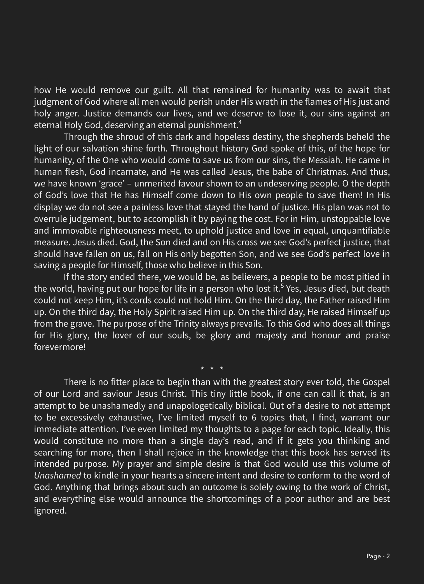#### how He would remove our guilt. All that remained for humanity was to await that judgment of God where all men would perish under His wrath in the flames of His just and holy anger. Justice demands our lives, and we deserve to lose it, our sins against an eternal Holy God, deserving an eternal punishment.<sup>4</sup>

Through the shroud of this dark and hopeless destiny, the shepherds beheld the light of our salvation shine forth. Throughout history God spoke of this, of the hope for humanity, of the One who would come to save us from our sins, the Messiah. He came in human flesh, God incarnate, and He was called Jesus, the babe of Christmas. And thus, we have known 'grace' – unmerited favour shown to an undeserving people. O the depth of God's love that He has Himself come down to His own people to save them! In His display we do not see a painless love that stayed the hand of justice. His plan was not to overrule judgement, but to accomplish it by paying the cost. For in Him, unstoppable love and immovable righteousness meet, to uphold justice and love in equal, unquantifiable measure. Jesus died. God, the Son died and on His cross we see God's perfect justice, that should have fallen on us, fall on His only begotten Son, and we see God's perfect love in saving a people for Himself, those who believe in this Son.

If the story ended there, we would be, as believers, a people to be most pitied in the world, having put our hope for life in a person who lost it.<sup>5</sup> Yes, Jesus died, but death could not keep Him, it's cords could not hold Him. On the third day, the Father raised Him up. On the third day, the Holy Spirit raised Him up. On the third day, He raised Himself up from the grave. The purpose of the Trinity always prevails. To this God who does all things for His glory, the lover of our souls, be glory and majesty and honour and praise forevermore!

\* \* \*

There is no fitter place to begin than with the greatest story ever told, the Gospel of our Lord and saviour Jesus Christ. This tiny little book, if one can call it that, is an attempt to be unashamedly and unapologetically biblical. Out of a desire to not attempt to be excessively exhaustive, I've limited myself to 6 topics that, I find, warrant our immediate attention. I've even limited my thoughts to a page for each topic. Ideally, this would constitute no more than a single day's read, and if it gets you thinking and searching for more, then I shall rejoice in the knowledge that this book has served its intended purpose. My prayer and simple desire is that God would use this volume of *Unashamed* to kindle in your hearts a sincere intent and desire to conform to the word of God. Anything that brings about such an outcome is solely owing to the work of Christ, and everything else would announce the shortcomings of a poor author and are best ignored.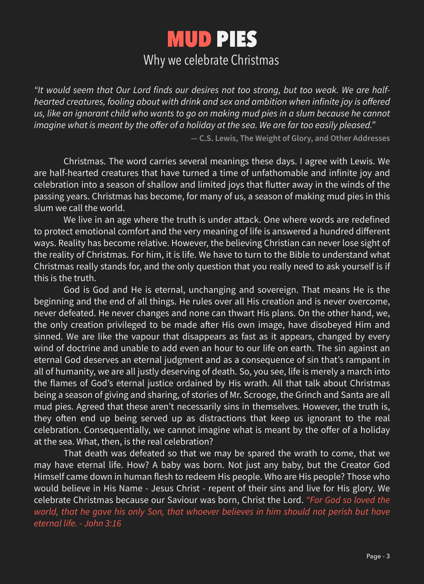*"It would seem that Our Lord finds our desires not too strong, but too weak. We are halfhearted creatures, fooling about with drink and sex and ambition when infinite joy is offered*  us, like an ignorant child who wants to go on making mud pies in a slum because he cannot *imagine what is meant by the offer of a holiday at the sea. We are far too easily pleased."*

**― C.S. Lewis, The Weight of Glory, and Other Addresses**

Christmas. The word carries several meanings these days. I agree with Lewis. We are half-hearted creatures that have turned a time of unfathomable and infinite joy and celebration into a season of shallow and limited joys that flutter away in the winds of the passing years. Christmas has become, for many of us, a season of making mud pies in this slum we call the world.

We live in an age where the truth is under attack. One where words are redefined to protect emotional comfort and the very meaning of life is answered a hundred different ways. Reality has become relative. However, the believing Christian can never lose sight of the reality of Christmas. For him, it is life. We have to turn to the Bible to understand what Christmas really stands for, and the only question that you really need to ask yourself is if this is the truth.

God is God and He is eternal, unchanging and sovereign. That means He is the beginning and the end of all things. He rules over all His creation and is never overcome, never defeated. He never changes and none can thwart His plans. On the other hand, we, the only creation privileged to be made after His own image, have disobeyed Him and sinned. We are like the vapour that disappears as fast as it appears, changed by every wind of doctrine and unable to add even an hour to our life on earth. The sin against an eternal God deserves an eternal judgment and as a consequence of sin that's rampant in all of humanity, we are all justly deserving of death. So, you see, life is merely a march into the flames of God's eternal justice ordained by His wrath. All that talk about Christmas being a season of giving and sharing, of stories of Mr. Scrooge, the Grinch and Santa are all mud pies. Agreed that these aren't necessarily sins in themselves. However, the truth is, they often end up being served up as distractions that keep us ignorant to the real celebration. Consequentially, we cannot imagine what is meant by the offer of a holiday at the sea. What, then, is the real celebration? That death was defeated so that we may be spared the wrath to come, that we may have eternal life. How? A baby was born. Not just any baby, but the Creator God Himself came down in human flesh to redeem His people. Who are His people? Those who would believe in His Name - Jesus Christ - repent of their sins and live for His glory. We celebrate Christmas because our Saviour was born, Christ the Lord. *"For God so loved the*  world, that he gave his only Son, that whoever believes in him should not perish but have *eternal life. - John 3:16*

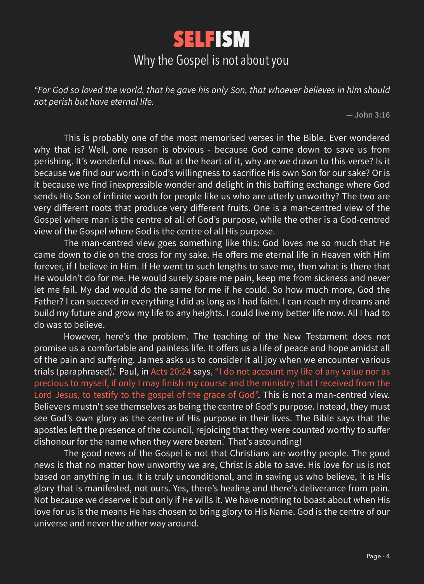*"For God so loved the world, that he gave his only Son, that whoever believes in him should not perish but have eternal life.*

**― John 3:16**

This is probably one of the most memorised verses in the Bible. Ever wondered why that is? Well, one reason is obvious - because God came down to save us from perishing. It's wonderful news. But at the heart of it, why are we drawn to this verse? Is it because we find our worth in God's willingness to sacrifice His own Son for our sake? Or is it because we find inexpressible wonder and delight in this baffling exchange where God sends His Son of infinite worth for people like us who are utterly unworthy? The two are very different roots that produce very different fruits. One is a man-centred view of the Gospel where man is the centre of all of God's purpose, while the other is a God-centred view of the Gospel where God is the centre of all His purpose.

However, here's the problem. The teaching of the New Testament does not promise us a comfortable and painless life. It offers us a life of peace and hope amidst all of the pain and suffering. James asks us to consider it all joy when we encounter various trials (paraphrased). $^6$  Paul, in Acts 20:24 says, "I do not account my life of any value nor as precious to myself, if only I may finish my course and the ministry that I received from the Lord Jesus, to testify to the gospel of the grace of God". This is not a man-centred view. Believers mustn't see themselves as being the centre of God's purpose. Instead, they must see God's own glory as the centre of His purpose in their lives. The Bible says that the apostles left the presence of the council, rejoicing that they were counted worthy to suffer dishonour for the name when they were beaten.<sup>7</sup> That's astounding!

The man-centred view goes something like this: God loves me so much that He came down to die on the cross for my sake. He offers me eternal life in Heaven with Him forever, if I believe in Him. If He went to such lengths to save me, then what is there that He wouldn't do for me. He would surely spare me pain, keep me from sickness and never let me fail. My dad would do the same for me if he could. So how much more, God the Father? I can succeed in everything I did as long as I had faith. I can reach my dreams and build my future and grow my life to any heights. I could live my better life now. All I had to

The good news of the Gospel is not that Christians are worthy people. The good news is that no matter how unworthy we are, Christ is able to save. His love for us is not based on anything in us. It is truly unconditional, and in saving us who believe, it is His glory that is manifested, not ours. Yes, there's healing and there's deliverance from pain. Not because we deserve it but only if He wills it. We have nothing to boast about when His love for us is the means He has chosen to bring glory to His Name. God is the centre of our universe and never the other way around.

## SELFISM Why the Gospel is not about you

do was to believe.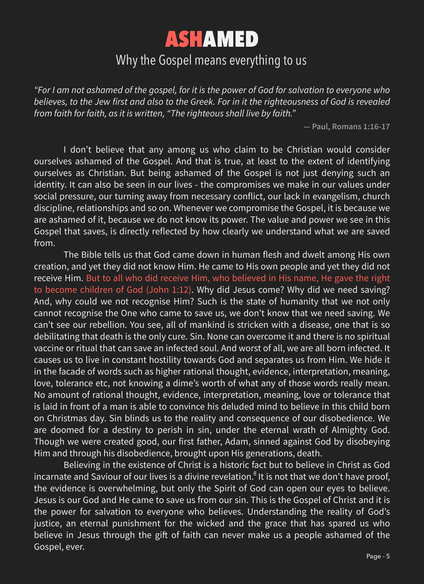*"For I am not ashamed of the gospel, for it is the power of God for salvation to everyone who believes, to the Jew first and also to the Greek. For in it the righteousness of God is revealed from faith for faith, as it is written, "The righteous shall live by faith."*

**― Paul, Romans 1:16-17**

I don't believe that any among us who claim to be Christian would consider ourselves ashamed of the Gospel. And that is true, at least to the extent of identifying ourselves as Christian. But being ashamed of the Gospel is not just denying such an identity. It can also be seen in our lives - the compromises we make in our values under social pressure, our turning away from necessary conflict, our lack in evangelism, church discipline, relationships and so on. Whenever we compromise the Gospel, it is because we are ashamed of it, because we do not know its power. The value and power we see in this Gospel that saves, is directly reflected by how clearly we understand what we are saved from.

The Bible tells us that God came down in human flesh and dwelt among His own creation, and yet they did not know Him. He came to His own people and yet they did not receive Him. But to all who did receive Him, who believed in His name, He gave the right to become children of God (John 1:12). Why did Jesus come? Why did we need saving? And, why could we not recognise Him? Such is the state of humanity that we not only cannot recognise the One who came to save us, we don't know that we need saving. We can't see our rebellion. You see, all of mankind is stricken with a disease, one that is so debilitating that death is the only cure. Sin. None can overcome it and there is no spiritual vaccine or ritual that can save an infected soul. And worst of all, we are all born infected. It causes us to live in constant hostility towards God and separates us from Him. We hide it in the facade of words such as higher rational thought, evidence, interpretation, meaning, love, tolerance etc, not knowing a dime's worth of what any of those words really mean. No amount of rational thought, evidence, interpretation, meaning, love or tolerance that is laid in front of a man is able to convince his deluded mind to believe in this child born on Christmas day. Sin blinds us to the reality and consequence of our disobedience. We are doomed for a destiny to perish in sin, under the eternal wrath of Almighty God. Though we were created good, our first father, Adam, sinned against God by disobeying Him and through his disobedience, brought upon His generations, death. Believing in the existence of Christ is a historic fact but to believe in Christ as God incarnate and Saviour of our lives is a divine revelation. $^8$  It is not that we don't have proof, the evidence is overwhelming, but only the Spirit of God can open our eyes to believe. Jesus is our God and He came to save us from our sin. This is the Gospel of Christ and it is the power for salvation to everyone who believes. Understanding the reality of God's justice, an eternal punishment for the wicked and the grace that has spared us who believe in Jesus through the gift of faith can never make us a people ashamed of the Gospel, ever.



#### Why the Gospel means everything to us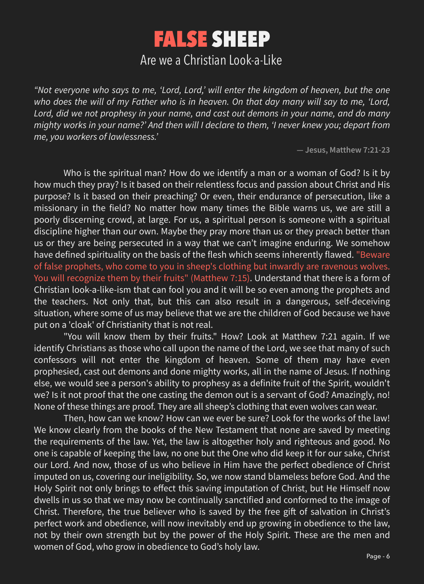*"Not everyone who says to me, 'Lord, Lord,' will enter the kingdom of heaven, but the one*  who does the will of my Father who is in heaven. On that day many will say to me, 'Lord, Lord, did we not prophesy in your name, and cast out demons in your name, and do many *mighty works in your name?' And then will I declare to them, 'I never knew you; depart from me, you workers of lawlessness.'*

**― Jesus, Matthew 7:21-23**

Who is the spiritual man? How do we identify a man or a woman of God? Is it by how much they pray? Is it based on their relentless focus and passion about Christ and His purpose? Is it based on their preaching? Or even, their endurance of persecution, like a missionary in the field? No matter how many times the Bible warns us, we are still a poorly discerning crowd, at large. For us, a spiritual person is someone with a spiritual discipline higher than our own. Maybe they pray more than us or they preach better than us or they are being persecuted in a way that we can't imagine enduring. We somehow have defined spirituality on the basis of the flesh which seems inherently flawed. "Beware of false prophets, who come to you in sheep's clothing but inwardly are ravenous wolves. You will recognize them by their fruits" (Matthew 7:15). Understand that there is a form of Christian look-a-like-ism that can fool you and it will be so even among the prophets and the teachers. Not only that, but this can also result in a dangerous, self-deceiving situation, where some of us may believe that we are the children of God because we have put on a 'cloak' of Christianity that is not real. "You will know them by their fruits." How? Look at Matthew 7:21 again. If we identify Christians as those who call upon the name of the Lord, we see that many of such confessors will not enter the kingdom of heaven. Some of them may have even prophesied, cast out demons and done mighty works, all in the name of Jesus. If nothing else, we would see a person's ability to prophesy as a definite fruit of the Spirit, wouldn't we? Is it not proof that the one casting the demon out is a servant of God? Amazingly, no! None of these things are proof. They are all sheep's clothing that even wolves can wear. Then, how can we know? How can we ever be sure? Look for the works of the law! We know clearly from the books of the New Testament that none are saved by meeting the requirements of the law. Yet, the law is altogether holy and righteous and good. No one is capable of keeping the law, no one but the One who did keep it for our sake, Christ our Lord. And now, those of us who believe in Him have the perfect obedience of Christ imputed on us, covering our ineligibility. So, we now stand blameless before God. And the Holy Spirit not only brings to effect this saving imputation of Christ, but He Himself now dwells in us so that we may now be continually sanctified and conformed to the image of Christ. Therefore, the true believer who is saved by the free gift of salvation in Christ's perfect work and obedience, will now inevitably end up growing in obedience to the law, not by their own strength but by the power of the Holy Spirit. These are the men and women of God, who grow in obedience to God's holy law.

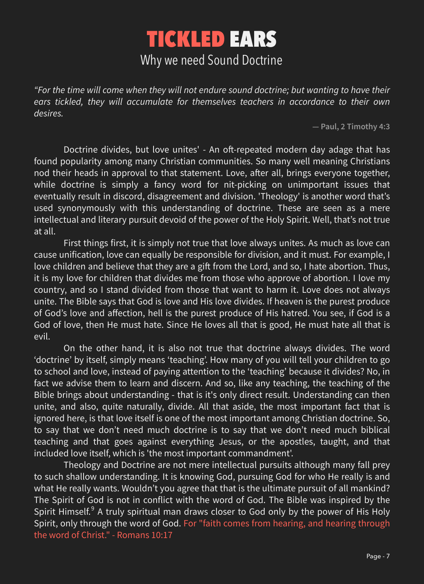*"For the time will come when they will not endure sound doctrine; but wanting to have their*  ears tickled, they will accumulate for themselves teachers in accordance to their own *desires.*

**― Paul, 2 Timothy 4:3**

Doctrine divides, but love unites' - An oft-repeated modern day adage that has found popularity among many Christian communities. So many well meaning Christians nod their heads in approval to that statement. Love, after all, brings everyone together, while doctrine is simply a fancy word for nit-picking on unimportant issues that eventually result in discord, disagreement and division. 'Theology' is another word that's used synonymously with this understanding of doctrine. These are seen as a mere intellectual and literary pursuit devoid of the power of the Holy Spirit. Well, that's not true at all.

First things first, it is simply not true that love always unites. As much as love can cause unification, love can equally be responsible for division, and it must. For example, I love children and believe that they are a gift from the Lord, and so, I hate abortion. Thus, it is my love for children that divides me from those who approve of abortion. I love my country, and so I stand divided from those that want to harm it. Love does not always unite. The Bible says that God is love and His love divides. If heaven is the purest produce of God's love and affection, hell is the purest produce of His hatred. You see, if God is a

God of love, then He must hate. Since He loves all that is good, He must hate all that is evil.

On the other hand, it is also not true that doctrine always divides. The word 'doctrine' by itself, simply means 'teaching'. How many of you will tell your children to go to school and love, instead of paying attention to the 'teaching' because it divides? No, in fact we advise them to learn and discern. And so, like any teaching, the teaching of the Bible brings about understanding - that is it's only direct result. Understanding can then unite, and also, quite naturally, divide. All that aside, the most important fact that is ignored here, is that love itself is one of the most important among Christian doctrine. So, to say that we don't need much doctrine is to say that we don't need much biblical teaching and that goes against everything Jesus, or the apostles, taught, and that included love itself, which is 'the most important commandment'.

Theology and Doctrine are not mere intellectual pursuits although many fall prey to such shallow understanding. It is knowing God, pursuing God for who He really is and what He really wants. Wouldn't you agree that that is the ultimate pursuit of all mankind? The Spirit of God is not in conflict with the word of God. The Bible was inspired by the Spirit Himself. $9$  A truly spiritual man draws closer to God only by the power of His Holy Spirit, only through the word of God. For "faith comes from hearing, and hearing through the word of Christ." - Romans 10:17

## TICKLED EARS Why we need Sound Doctrine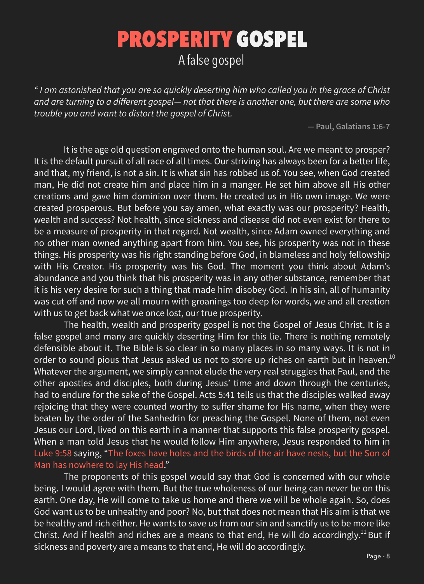*" I am astonished that you are so quickly deserting him who called you in the grace of Christ and are turning to a different gospel— not that there is another one, but there are some who trouble you and want to distort the gospel of Christ.*

**― Paul, Galatians 1:6-7**

It is the age old question engraved onto the human soul. Are we meant to prosper? It is the default pursuit of all race of all times. Our striving has always been for a better life, and that, my friend, is not a sin. It is what sin has robbed us of. You see, when God created man, He did not create him and place him in a manger. He set him above all His other creations and gave him dominion over them. He created us in His own image. We were created prosperous. But before you say amen, what exactly was our prosperity? Health, wealth and success? Not health, since sickness and disease did not even exist for there to be a measure of prosperity in that regard. Not wealth, since Adam owned everything and no other man owned anything apart from him. You see, his prosperity was not in these things. His prosperity was his right standing before God, in blameless and holy fellowship with His Creator. His prosperity was his God. The moment you think about Adam's abundance and you think that his prosperity was in any other substance, remember that it is his very desire for such a thing that made him disobey God. In his sin, all of humanity was cut off and now we all mourn with groanings too deep for words, we and all creation with us to get back what we once lost, our true prosperity. The health, wealth and prosperity gospel is not the Gospel of Jesus Christ. It is a false gospel and many are quickly deserting Him for this lie. There is nothing remotely defensible about it. The Bible is so clear in so many places in so many ways. It is not in order to sound pious that Jesus asked us not to store up riches on earth but in heaven.<sup>10</sup> Whatever the argument, we simply cannot elude the very real struggles that Paul, and the other apostles and disciples, both during Jesus' time and down through the centuries, had to endure for the sake of the Gospel. Acts 5:41 tells us that the disciples walked away rejoicing that they were counted worthy to suffer shame for His name, when they were beaten by the order of the Sanhedrin for preaching the Gospel. None of them, not even Jesus our Lord, lived on this earth in a manner that supports this false prosperity gospel. When a man told Jesus that he would follow Him anywhere, Jesus responded to him in Luke 9:58 saying, "The foxes have holes and the birds of the air have nests, but the Son of Man has nowhere to lay His head." The proponents of this gospel would say that God is concerned with our whole being. I would agree with them. But the true wholeness of our being can never be on this earth. One day, He will come to take us home and there we will be whole again. So, does God want us to be unhealthy and poor? No, but that does not mean that His aim is that we be healthy and rich either. He wants to save us from our sin and sanctify us to be more like Christ. And if health and riches are a means to that end, He will do accordingly.<sup>11</sup> But if sickness and poverty are a means to that end, He will do accordingly.

## PROSPERITY GOSPEL A false gospel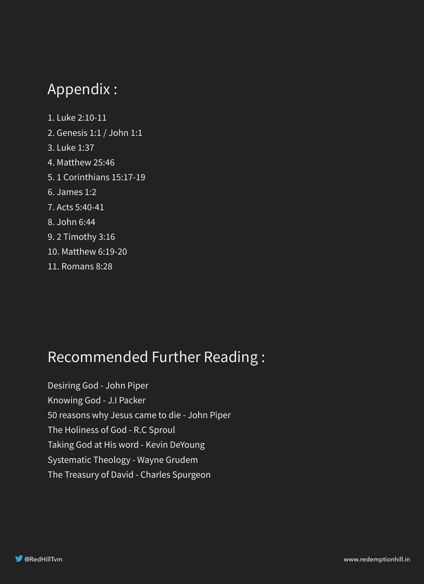### Appendix :

- 1. Luke 2:10-11
- 2. Genesis 1:1 / John 1:1
- 3. Luke 1:37
- 4. Matthew 25:46
- 5. 1 Corinthians 15:17-19
- 6. James 1:2
- 7. Acts 5:40-41
- 8. John 6:44
- 9. 2 Timothy 3:16
- 10. Matthew 6:19-20
- 11. Romans 8:28

#### Recommended Further Reading :

Desiring God - John Piper Knowing God - J.I Packer 50 reasons why Jesus came to die - John Piper The Holiness of God - R.C Sproul Taking God at His word - Kevin DeYoung Systematic Theology - Wayne Grudem The Treasury of David - Charles Spurgeon